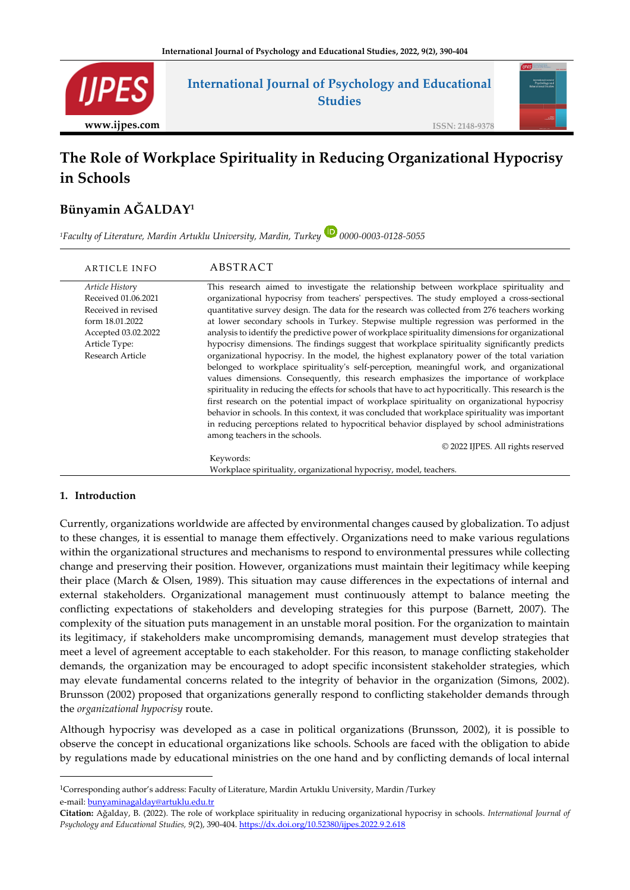

# **The Role of Workplace Spirituality in Reducing Organizational Hypocrisy in Schools**

## **Bünyamin AĞALDAY<sup>1</sup>**

*<sup>1</sup>Faculty of Literature, Mardin Artuklu University, Mardin, Turkey 0000-0003-0128-5055*

| ARTICLE INFO                                                                                                                                 | ABSTRACT                                                                                                                                                                                                                                                                                                                                                                                                                                                                                                                                                                                                                                                                                                                                                                                                                                                                                                                                                                                                                                                                                                                                                                                                                                                                                                                                                                       |
|----------------------------------------------------------------------------------------------------------------------------------------------|--------------------------------------------------------------------------------------------------------------------------------------------------------------------------------------------------------------------------------------------------------------------------------------------------------------------------------------------------------------------------------------------------------------------------------------------------------------------------------------------------------------------------------------------------------------------------------------------------------------------------------------------------------------------------------------------------------------------------------------------------------------------------------------------------------------------------------------------------------------------------------------------------------------------------------------------------------------------------------------------------------------------------------------------------------------------------------------------------------------------------------------------------------------------------------------------------------------------------------------------------------------------------------------------------------------------------------------------------------------------------------|
| Article History<br>Received 01.06.2021<br>Received in revised<br>form 18.01.2022<br>Accepted 03.02.2022<br>Article Type:<br>Research Article | This research aimed to investigate the relationship between workplace spirituality and<br>organizational hypocrisy from teachers' perspectives. The study employed a cross-sectional<br>quantitative survey design. The data for the research was collected from 276 teachers working<br>at lower secondary schools in Turkey. Stepwise multiple regression was performed in the<br>analysis to identify the predictive power of workplace spirituality dimensions for organizational<br>hypocrisy dimensions. The findings suggest that workplace spirituality significantly predicts<br>organizational hypocrisy. In the model, the highest explanatory power of the total variation<br>belonged to workplace spirituality's self-perception, meaningful work, and organizational<br>values dimensions. Consequently, this research emphasizes the importance of workplace<br>spirituality in reducing the effects for schools that have to act hypocritically. This research is the<br>first research on the potential impact of workplace spirituality on organizational hypocrisy<br>behavior in schools. In this context, it was concluded that workplace spirituality was important<br>in reducing perceptions related to hypocritical behavior displayed by school administrations<br>among teachers in the schools.<br>© 2022 IJPES. All rights reserved<br>Keywords: |
|                                                                                                                                              | Workplace spirituality, organizational hypocrisy, model, teachers.                                                                                                                                                                                                                                                                                                                                                                                                                                                                                                                                                                                                                                                                                                                                                                                                                                                                                                                                                                                                                                                                                                                                                                                                                                                                                                             |

### **1. Introduction**

Currently, organizations worldwide are affected by environmental changes caused by globalization. To adjust to these changes, it is essential to manage them effectively. Organizations need to make various regulations within the organizational structures and mechanisms to respond to environmental pressures while collecting change and preserving their position. However, organizations must maintain their legitimacy while keeping their place (March & Olsen, 1989). This situation may cause differences in the expectations of internal and external stakeholders. Organizational management must continuously attempt to balance meeting the conflicting expectations of stakeholders and developing strategies for this purpose (Barnett, 2007). The complexity of the situation puts management in an unstable moral position. For the organization to maintain its legitimacy, if stakeholders make uncompromising demands, management must develop strategies that meet a level of agreement acceptable to each stakeholder. For this reason, to manage conflicting stakeholder demands, the organization may be encouraged to adopt specific inconsistent stakeholder strategies, which may elevate fundamental concerns related to the integrity of behavior in the organization (Simons, 2002). Brunsson (2002) proposed that organizations generally respond to conflicting stakeholder demands through the *organizational hypocrisy* route.

Although hypocrisy was developed as a case in political organizations (Brunsson, 2002), it is possible to observe the concept in educational organizations like schools. Schools are faced with the obligation to abide by regulations made by educational ministries on the one hand and by conflicting demands of local internal

<sup>1</sup>Corresponding author's address: Faculty of Literature, Mardin Artuklu University, Mardin /Turkey e-mail: [bunyaminagalday@artuklu.edu.tr](mailto:bunyaminagalday@artuklu.edu.tr)

**Citation:** Ağalday, B. (2022). The role of workplace spirituality in reducing organizational hypocrisy in schools. *International Journal of Psychology and Educational Studies, 9*(2), 390-404[. https://dx.doi.org/10.52380/ijpes.2022.9.2.618](https://dx.doi.org/10.52380/ijpes.2022.9.2.618)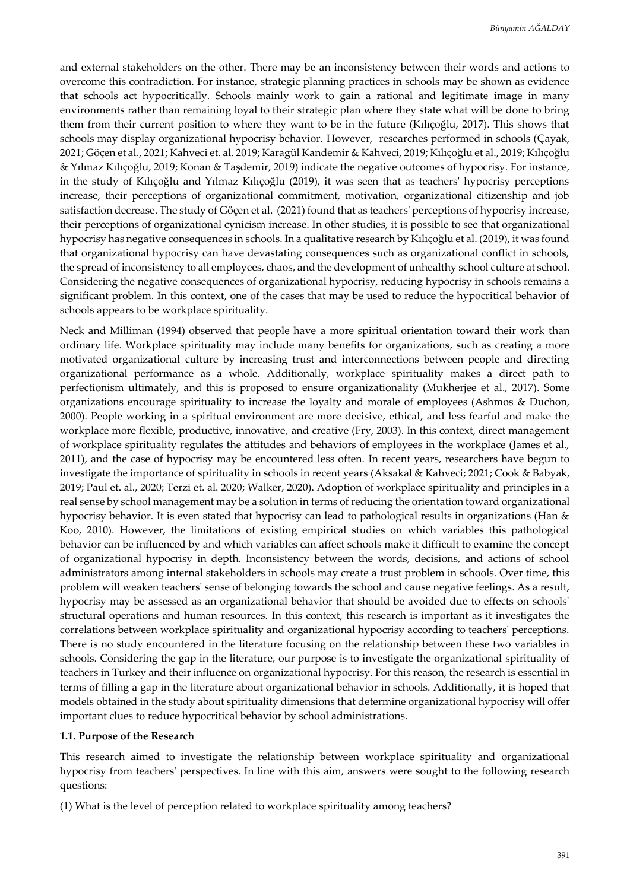and external stakeholders on the other. There may be an inconsistency between their words and actions to overcome this contradiction. For instance, strategic planning practices in schools may be shown as evidence that schools act hypocritically. Schools mainly work to gain a rational and legitimate image in many environments rather than remaining loyal to their strategic plan where they state what will be done to bring them from their current position to where they want to be in the future (Kılıçoğlu, 2017). This shows that schools may display organizational hypocrisy behavior. However, researches performed in schools (Çayak, 2021; Göçen et al., 2021; Kahveci et. al. 2019; Karagül Kandemir & Kahveci, 2019; Kılıçoğlu et al., 2019; Kılıçoğlu & Yılmaz Kılıçoğlu, 2019; Konan & Taşdemir, 2019) indicate the negative outcomes of hypocrisy. For instance, in the study of Kılıçoğlu and Yılmaz Kılıçoğlu (2019), it was seen that as teachers' hypocrisy perceptions increase, their perceptions of organizational commitment, motivation, organizational citizenship and job satisfaction decrease. The study of Göçen et al. (2021) found that as teachers' perceptions of hypocrisy increase, their perceptions of organizational cynicism increase. In other studies, it is possible to see that organizational hypocrisy has negative consequences in schools. In a qualitative research by Kılıçoğlu et al. (2019), it was found that organizational hypocrisy can have devastating consequences such as organizational conflict in schools, the spread of inconsistency to all employees, chaos, and the development of unhealthy school culture at school. Considering the negative consequences of organizational hypocrisy, reducing hypocrisy in schools remains a significant problem. In this context, one of the cases that may be used to reduce the hypocritical behavior of schools appears to be workplace spirituality.

Neck and Milliman (1994) observed that people have a more spiritual orientation toward their work than ordinary life. Workplace spirituality may include many benefits for organizations, such as creating a more motivated organizational culture by increasing trust and interconnections between people and directing organizational performance as a whole. Additionally, workplace spirituality makes a direct path to perfectionism ultimately, and this is proposed to ensure organizationality (Mukherjee et al., 2017). Some organizations encourage spirituality to increase the loyalty and morale of employees (Ashmos & Duchon, 2000). People working in a spiritual environment are more decisive, ethical, and less fearful and make the workplace more flexible, productive, innovative, and creative (Fry, 2003). In this context, direct management of workplace spirituality regulates the attitudes and behaviors of employees in the workplace (James et al., 2011), and the case of hypocrisy may be encountered less often. In recent years, researchers have begun to investigate the importance of spirituality in schools in recent years (Aksakal & Kahveci; 2021; Cook & Babyak, 2019; Paul et. al., 2020; Terzi et. al. 2020; Walker, 2020). Adoption of workplace spirituality and principles in a real sense by school management may be a solution in terms of reducing the orientation toward organizational hypocrisy behavior. It is even stated that hypocrisy can lead to pathological results in organizations (Han & Koo, 2010). However, the limitations of existing empirical studies on which variables this pathological behavior can be influenced by and which variables can affect schools make it difficult to examine the concept of organizational hypocrisy in depth. Inconsistency between the words, decisions, and actions of school administrators among internal stakeholders in schools may create a trust problem in schools. Over time, this problem will weaken teachers' sense of belonging towards the school and cause negative feelings. As a result, hypocrisy may be assessed as an organizational behavior that should be avoided due to effects on schools' structural operations and human resources. In this context, this research is important as it investigates the correlations between workplace spirituality and organizational hypocrisy according to teachers' perceptions. There is no study encountered in the literature focusing on the relationship between these two variables in schools. Considering the gap in the literature, our purpose is to investigate the organizational spirituality of teachers in Turkey and their influence on organizational hypocrisy. For this reason, the research is essential in terms of filling a gap in the literature about organizational behavior in schools. Additionally, it is hoped that models obtained in the study about spirituality dimensions that determine organizational hypocrisy will offer important clues to reduce hypocritical behavior by school administrations.

#### **1.1. Purpose of the Research**

This research aimed to investigate the relationship between workplace spirituality and organizational hypocrisy from teachers' perspectives. In line with this aim, answers were sought to the following research questions:

(1) What is the level of perception related to workplace spirituality among teachers?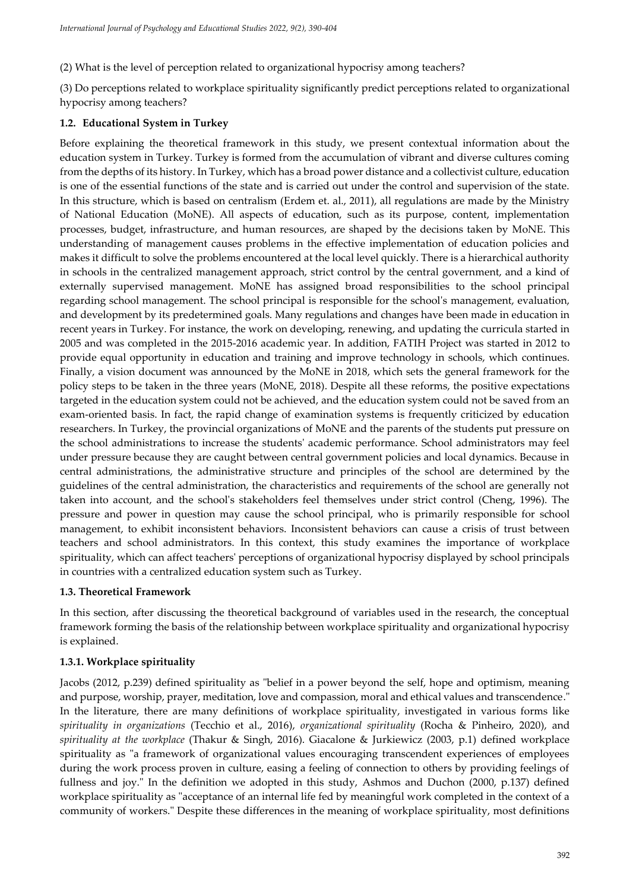(2) What is the level of perception related to organizational hypocrisy among teachers?

(3) Do perceptions related to workplace spirituality significantly predict perceptions related to organizational hypocrisy among teachers?

## **1.2. Educational System in Turkey**

Before explaining the theoretical framework in this study, we present contextual information about the education system in Turkey. Turkey is formed from the accumulation of vibrant and diverse cultures coming from the depths of its history. In Turkey, which has a broad power distance and a collectivist culture, education is one of the essential functions of the state and is carried out under the control and supervision of the state. In this structure, which is based on centralism (Erdem et. al., 2011), all regulations are made by the Ministry of National Education (MoNE). All aspects of education, such as its purpose, content, implementation processes, budget, infrastructure, and human resources, are shaped by the decisions taken by MoNE. This understanding of management causes problems in the effective implementation of education policies and makes it difficult to solve the problems encountered at the local level quickly. There is a hierarchical authority in schools in the centralized management approach, strict control by the central government, and a kind of externally supervised management. MoNE has assigned broad responsibilities to the school principal regarding school management. The school principal is responsible for the school's management, evaluation, and development by its predetermined goals. Many regulations and changes have been made in education in recent years in Turkey. For instance, the work on developing, renewing, and updating the curricula started in 2005 and was completed in the 2015-2016 academic year. In addition, FATIH Project was started in 2012 to provide equal opportunity in education and training and improve technology in schools, which continues. Finally, a vision document was announced by the MoNE in 2018, which sets the general framework for the policy steps to be taken in the three years (MoNE, 2018). Despite all these reforms, the positive expectations targeted in the education system could not be achieved, and the education system could not be saved from an exam-oriented basis. In fact, the rapid change of examination systems is frequently criticized by education researchers. In Turkey, the provincial organizations of MoNE and the parents of the students put pressure on the school administrations to increase the students' academic performance. School administrators may feel under pressure because they are caught between central government policies and local dynamics. Because in central administrations, the administrative structure and principles of the school are determined by the guidelines of the central administration, the characteristics and requirements of the school are generally not taken into account, and the school's stakeholders feel themselves under strict control (Cheng, 1996). The pressure and power in question may cause the school principal, who is primarily responsible for school management, to exhibit inconsistent behaviors. Inconsistent behaviors can cause a crisis of trust between teachers and school administrators. In this context, this study examines the importance of workplace spirituality, which can affect teachers' perceptions of organizational hypocrisy displayed by school principals in countries with a centralized education system such as Turkey.

### **1.3. Theoretical Framework**

In this section, after discussing the theoretical background of variables used in the research, the conceptual framework forming the basis of the relationship between workplace spirituality and organizational hypocrisy is explained.

## **1.3.1. Workplace spirituality**

Jacobs (2012, p.239) defined spirituality as "belief in a power beyond the self, hope and optimism, meaning and purpose, worship, prayer, meditation, love and compassion, moral and ethical values and transcendence." In the literature, there are many definitions of workplace spirituality, investigated in various forms like *spirituality in organizations* (Tecchio et al., 2016), *organizational spirituality* (Rocha & Pinheiro, 2020), and *spirituality at the workplace* (Thakur & Singh, 2016). Giacalone & Jurkiewicz (2003, p.1) defined workplace spirituality as "a framework of organizational values encouraging transcendent experiences of employees during the work process proven in culture, easing a feeling of connection to others by providing feelings of fullness and joy." In the definition we adopted in this study, Ashmos and Duchon (2000, p.137) defined workplace spirituality as "acceptance of an internal life fed by meaningful work completed in the context of a community of workers." Despite these differences in the meaning of workplace spirituality, most definitions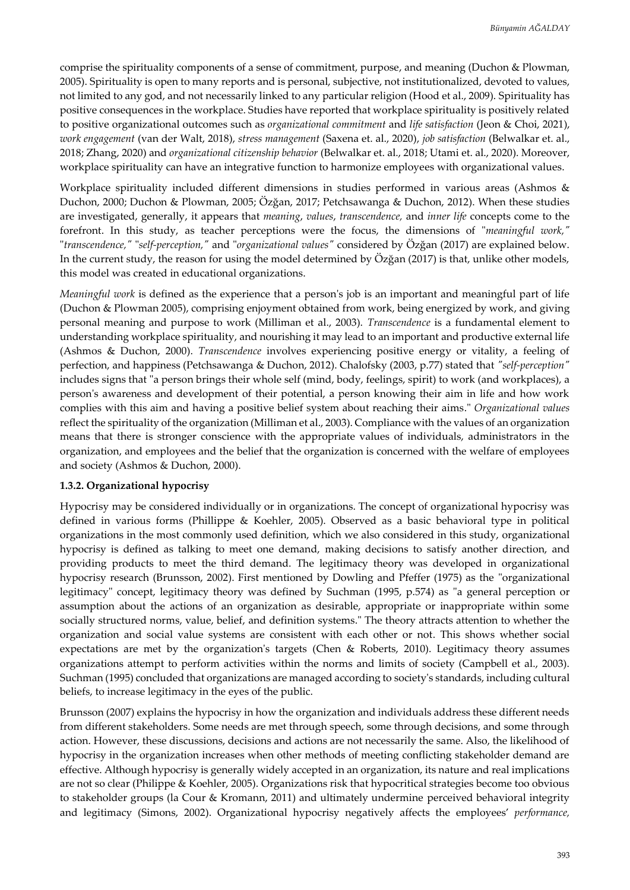comprise the spirituality components of a sense of commitment, purpose, and meaning (Duchon & Plowman, 2005). Spirituality is open to many reports and is personal, subjective, not institutionalized, devoted to values, not limited to any god, and not necessarily linked to any particular religion (Hood et al., 2009). Spirituality has positive consequences in the workplace. Studies have reported that workplace spirituality is positively related to positive organizational outcomes such as *organizational commitment* and *life satisfaction* (Jeon & Choi, 2021), *work engagement* (van der Walt, 2018), *stress management* (Saxena et. al., 2020), *job satisfaction* (Belwalkar et. al., 2018; Zhang, 2020) and *organizational citizenship behavior* (Belwalkar et. al., 2018; Utami et. al., 2020). Moreover, workplace spirituality can have an integrative function to harmonize employees with organizational values.

Workplace spirituality included different dimensions in studies performed in various areas (Ashmos & Duchon, 2000; Duchon & Plowman, 2005; Özğan, 2017; Petchsawanga & Duchon, 2012). When these studies are investigated, generally, it appears that *meaning*, *values*, *transcendence,* and *inner life* concepts come to the forefront. In this study, as teacher perceptions were the focus, the dimensions of "*meaningful work,"* "*transcendence,"* "*self-perception,"* and "*organizational values"* considered by Özğan (2017) are explained below. In the current study, the reason for using the model determined by Özğan (2017) is that, unlike other models, this model was created in educational organizations.

*Meaningful work* is defined as the experience that a person's job is an important and meaningful part of life (Duchon & Plowman 2005), comprising enjoyment obtained from work, being energized by work, and giving personal meaning and purpose to work (Milliman et al., 2003). *Transcendence* is a fundamental element to understanding workplace spirituality, and nourishing it may lead to an important and productive external life (Ashmos & Duchon, 2000). *Transcendence* involves experiencing positive energy or vitality, a feeling of perfection, and happiness (Petchsawanga & Duchon, 2012). Chalofsky (2003, p.77) stated that *"self-perception"* includes signs that "a person brings their whole self (mind, body, feelings, spirit) to work (and workplaces), a person's awareness and development of their potential, a person knowing their aim in life and how work complies with this aim and having a positive belief system about reaching their aims." *Organizational values* reflect the spirituality of the organization (Milliman et al., 2003). Compliance with the values of an organization means that there is stronger conscience with the appropriate values of individuals, administrators in the organization, and employees and the belief that the organization is concerned with the welfare of employees and society (Ashmos & Duchon, 2000).

#### **1.3.2. Organizational hypocrisy**

Hypocrisy may be considered individually or in organizations. The concept of organizational hypocrisy was defined in various forms (Phillippe & Koehler, 2005). Observed as a basic behavioral type in political organizations in the most commonly used definition, which we also considered in this study, organizational hypocrisy is defined as talking to meet one demand, making decisions to satisfy another direction, and providing products to meet the third demand. The legitimacy theory was developed in organizational hypocrisy research (Brunsson, 2002). First mentioned by Dowling and Pfeffer (1975) as the "organizational legitimacy" concept, legitimacy theory was defined by Suchman (1995, p.574) as "a general perception or assumption about the actions of an organization as desirable, appropriate or inappropriate within some socially structured norms, value, belief, and definition systems." The theory attracts attention to whether the organization and social value systems are consistent with each other or not. This shows whether social expectations are met by the organization's targets (Chen & Roberts, 2010). Legitimacy theory assumes organizations attempt to perform activities within the norms and limits of society (Campbell et al., 2003). Suchman (1995) concluded that organizations are managed according to society's standards, including cultural beliefs, to increase legitimacy in the eyes of the public.

Brunsson (2007) explains the hypocrisy in how the organization and individuals address these different needs from different stakeholders. Some needs are met through speech, some through decisions, and some through action. However, these discussions, decisions and actions are not necessarily the same. Also, the likelihood of hypocrisy in the organization increases when other methods of meeting conflicting stakeholder demand are effective. Although hypocrisy is generally widely accepted in an organization, its nature and real implications are not so clear (Philippe & Koehler, 2005). Organizations risk that hypocritical strategies become too obvious to stakeholder groups (la Cour & Kromann, 2011) and ultimately undermine perceived behavioral integrity and legitimacy (Simons, 2002). Organizational hypocrisy negatively affects the employees' *performance,*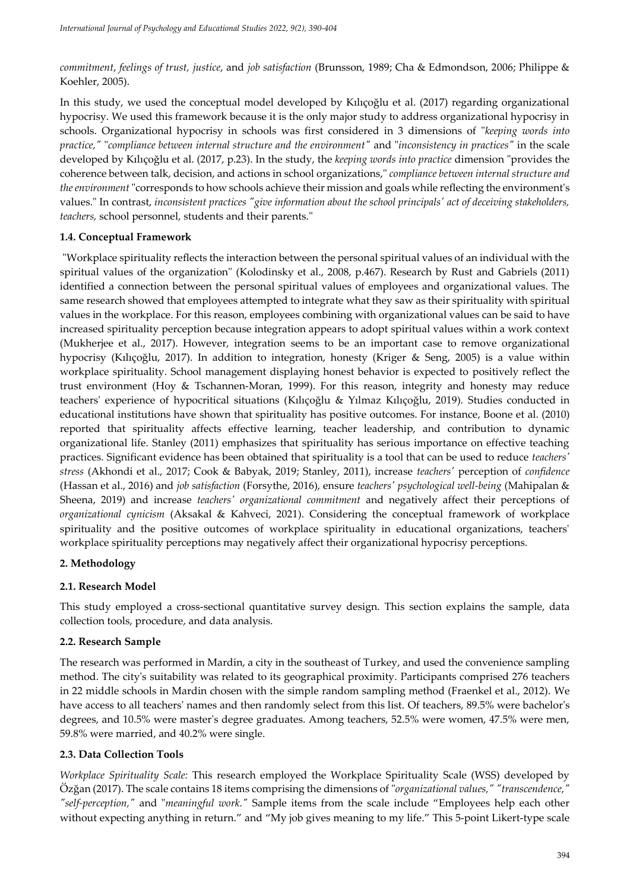*commitment*, *feelings of trust, justice*, and *job satisfaction* (Brunsson, 1989; Cha & Edmondson, 2006; Philippe & Koehler, 2005).

In this study, we used the conceptual model developed by Kılıçoğlu et al. (2017) regarding organizational hypocrisy. We used this framework because it is the only major study to address organizational hypocrisy in schools. Organizational hypocrisy in schools was first considered in 3 dimensions of "*keeping words into practice,"* "*compliance between internal structure and the environment"* and "*inconsistency in practices"* in the scale developed by Kılıçoğlu et al. (2017, p.23). In the study, the *keeping words into practice* dimension "provides the coherence between talk, decision, and actions in school organizations," *compliance between internal structure and the environment* "corresponds to how schools achieve their mission and goals while reflecting the environment's values." In contrast, *inconsistent practices "give information about the school principals' act of deceiving stakeholders, teachers,* school personnel, students and their parents."

## **1.4. Conceptual Framework**

"Workplace spirituality reflects the interaction between the personal spiritual values of an individual with the spiritual values of the organization" (Kolodinsky et al., 2008, p.467). Research by Rust and Gabriels (2011) identified a connection between the personal spiritual values of employees and organizational values. The same research showed that employees attempted to integrate what they saw as their spirituality with spiritual values in the workplace. For this reason, employees combining with organizational values can be said to have increased spirituality perception because integration appears to adopt spiritual values within a work context (Mukherjee et al., 2017). However, integration seems to be an important case to remove organizational hypocrisy (Kılıçoğlu, 2017). In addition to integration, honesty (Kriger & Seng, 2005) is a value within workplace spirituality. School management displaying honest behavior is expected to positively reflect the trust environment (Hoy & Tschannen-Moran, 1999). For this reason, integrity and honesty may reduce teachers' experience of hypocritical situations (Kılıçoğlu & Yılmaz Kılıçoğlu, 2019). Studies conducted in educational institutions have shown that spirituality has positive outcomes. For instance, Boone et al. (2010) reported that spirituality affects effective learning, teacher leadership, and contribution to dynamic organizational life. Stanley (2011) emphasizes that spirituality has serious importance on effective teaching practices. Significant evidence has been obtained that spirituality is a tool that can be used to reduce *teachers' stress* (Akhondi et al., 2017; Cook & Babyak, 2019; Stanley, 2011), increase *teachers'* perception of *confidence* (Hassan et al., 2016) and *job satisfaction* (Forsythe, 2016), ensure *teachers' psychological well-being* (Mahipalan & Sheena, 2019) and increase *teachers' organizational commitment* and negatively affect their perceptions of *organizational cynicism* (Aksakal & Kahveci, 2021). Considering the conceptual framework of workplace spirituality and the positive outcomes of workplace spirituality in educational organizations, teachers' workplace spirituality perceptions may negatively affect their organizational hypocrisy perceptions.

### **2. Methodology**

## **2.1. Research Model**

This study employed a cross-sectional quantitative survey design. This section explains the sample, data collection tools, procedure, and data analysis.

### **2.2. Research Sample**

The research was performed in Mardin, a city in the southeast of Turkey, and used the convenience sampling method. The city's suitability was related to its geographical proximity. Participants comprised 276 teachers in 22 middle schools in Mardin chosen with the simple random sampling method (Fraenkel et al., 2012). We have access to all teachers' names and then randomly select from this list. Of teachers, 89.5% were bachelor's degrees, and 10.5% were master's degree graduates. Among teachers, 52.5% were women, 47.5% were men, 59.8% were married, and 40.2% were single.

### **2.3. Data Collection Tools**

*Workplace Spirituality Scale:* This research employed the Workplace Spirituality Scale (WSS) developed by Özğan (2017). The scale contains 18 items comprising the dimensions of "*organizational values," "transcendence," "self-perception,"* and "*meaningful work."* Sample items from the scale include "Employees help each other without expecting anything in return." and "My job gives meaning to my life." This 5-point Likert-type scale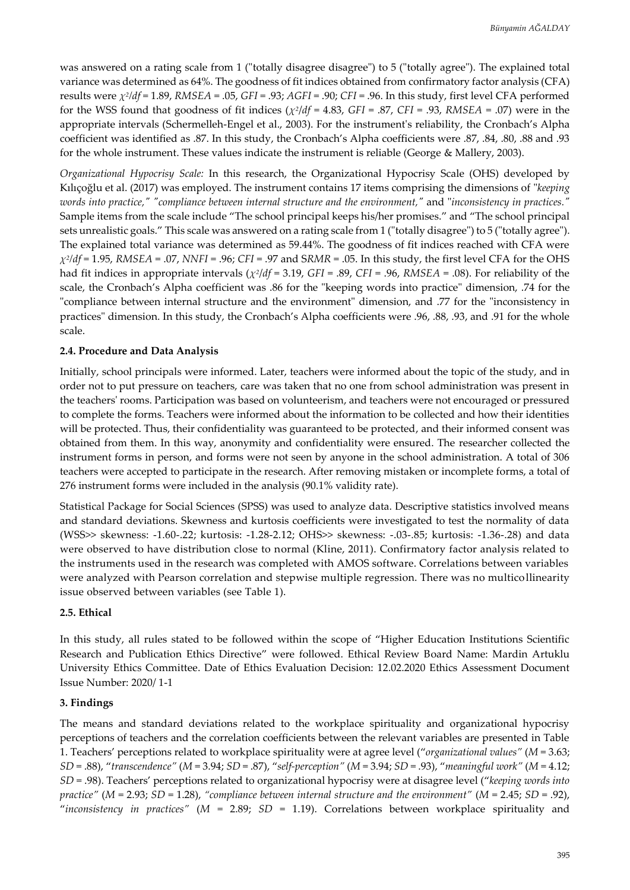was answered on a rating scale from 1 ("totally disagree disagree") to 5 ("totally agree"). The explained total variance was determined as 64%. The goodness of fit indices obtained from confirmatory factor analysis (CFA) results were *χ<sup>2</sup> /df* = 1.89, *RMSEA* = .05, *GFI* = .93; *AGFI* = .90; *CFI* = .96. In this study, first level CFA performed for the WSS found that goodness of fit indices (*χ<sup>2</sup>* /*df* = 4.83, *GFI* = .87, *CFI* = .93, *RMSEA* = .07) were in the appropriate intervals (Schermelleh-Engel et al., 2003). For the instrument's reliability, the Cronbach's Alpha coefficient was identified as .87. In this study, the Cronbach's Alpha coefficients were .87, .84, .80, .88 and .93 for the whole instrument. These values indicate the instrument is reliable (George & Mallery, 2003).

*Organizational Hypocrisy Scale:* In this research, the Organizational Hypocrisy Scale (OHS) developed by Kılıçoğlu et al. (2017) was employed. The instrument contains 17 items comprising the dimensions of "*keeping words into practice," "compliance between internal structure and the environment,"* and "*inconsistency in practices."* Sample items from the scale include "The school principal keeps his/her promises." and "The school principal sets unrealistic goals." This scale was answered on a rating scale from 1 ("totally disagree") to 5 ("totally agree"). The explained total variance was determined as 59.44%. The goodness of fit indices reached with CFA were *χ2 /df* = 1.95, *RMSEA* = .07, *NNFI* = .96; *CFI* = .97 and S*RMR* = .05. In this study, the first level CFA for the OHS had fit indices in appropriate intervals (*χ<sup>2</sup>* /*df* = 3.19, *GFI* = .89, *CFI* = .96, *RMSEA* = .08). For reliability of the scale, the Cronbach's Alpha coefficient was .86 for the "keeping words into practice" dimension, .74 for the "compliance between internal structure and the environment" dimension, and .77 for the "inconsistency in practices" dimension. In this study, the Cronbach's Alpha coefficients were .96, .88, .93, and .91 for the whole scale.

### **2.4. Procedure and Data Analysis**

Initially, school principals were informed. Later, teachers were informed about the topic of the study, and in order not to put pressure on teachers, care was taken that no one from school administration was present in the teachers' rooms. Participation was based on volunteerism, and teachers were not encouraged or pressured to complete the forms. Teachers were informed about the information to be collected and how their identities will be protected. Thus, their confidentiality was guaranteed to be protected, and their informed consent was obtained from them. In this way, anonymity and confidentiality were ensured. The researcher collected the instrument forms in person, and forms were not seen by anyone in the school administration. A total of 306 teachers were accepted to participate in the research. After removing mistaken or incomplete forms, a total of 276 instrument forms were included in the analysis (90.1% validity rate).

Statistical Package for Social Sciences (SPSS) was used to analyze data. Descriptive statistics involved means and standard deviations. Skewness and kurtosis coefficients were investigated to test the normality of data (WSS>> skewness: -1.60-.22; kurtosis: -1.28-2.12; OHS>> skewness: -.03-.85; kurtosis: -1.36-.28) and data were observed to have distribution close to normal (Kline, 2011). Confirmatory factor analysis related to the instruments used in the research was completed with AMOS software. Correlations between variables were analyzed with Pearson correlation and stepwise multiple regression. There was no multicollinearity issue observed between variables (see Table 1).

#### **2.5. Ethical**

In this study, all rules stated to be followed within the scope of "Higher Education Institutions Scientific Research and Publication Ethics Directive" were followed. Ethical Review Board Name: Mardin Artuklu University Ethics Committee. Date of Ethics Evaluation Decision: 12.02.2020 Ethics Assessment Document Issue Number: 2020/ 1-1

### **3. Findings**

The means and standard deviations related to the workplace spirituality and organizational hypocrisy perceptions of teachers and the correlation coefficients between the relevant variables are presented in Table 1. Teachers' perceptions related to workplace spirituality were at agree level ("*organizational values"* (*M* = 3.63; *SD* = .88), "*transcendence"* (*M* = 3.94; *SD* = .87), "*self-perception"* (*M* = 3.94; *SD* = .93), "*meaningful work"* (*M* = 4.12; *SD* = .98). Teachers' perceptions related to organizational hypocrisy were at disagree level ("*keeping words into practice"* (*M* = 2.93; *SD* = 1.28), *"compliance between internal structure and the environment"* (*M* = 2.45; *SD* = .92), "*inconsistency in practices"* (*M* = 2.89; *SD* = 1.19). Correlations between workplace spirituality and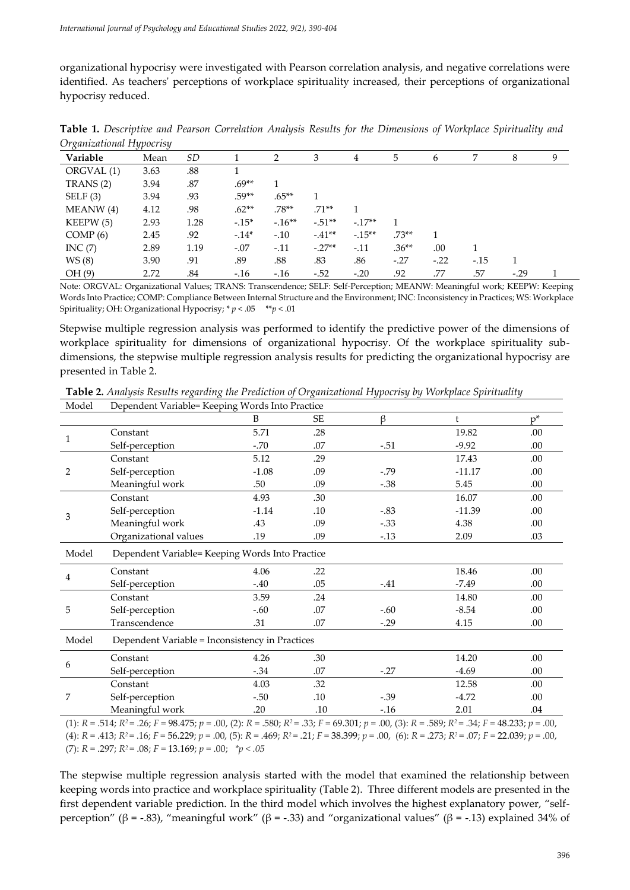organizational hypocrisy were investigated with Pearson correlation analysis, and negative correlations were identified. As teachers' perceptions of workplace spirituality increased, their perceptions of organizational hypocrisy reduced.

| $\sim$<br>Variable | Mean | SD   |         | ∍        | 3         | 4       | 5       | <sub>b</sub> | 7      | 8      | 9 |
|--------------------|------|------|---------|----------|-----------|---------|---------|--------------|--------|--------|---|
| ORGVAL (1)         | 3.63 | .88  |         |          |           |         |         |              |        |        |   |
| TRANS (2)          | 3.94 | .87  | $.69**$ |          |           |         |         |              |        |        |   |
| SELF(3)            | 3.94 | .93  | $.59**$ | $.65***$ |           |         |         |              |        |        |   |
| MEANW(4)           | 4.12 | .98  | $.62**$ | $.78**$  | $.71**$   |         |         |              |        |        |   |
| KEEPW (5)          | 2.93 | 1.28 | $-.15*$ | $-16**$  | $-0.51**$ | $-17**$ |         |              |        |        |   |
| COMP(6)            | 2.45 | .92  | $-14*$  | $-.10$   | $-41**$   | $-15**$ | $.73**$ |              |        |        |   |
| INC(7)             | 2.89 | 1.19 | $-.07$  | $-.11$   | $-.27**$  | $-.11$  | $.36**$ | .00          |        |        |   |
| WS(8)              | 3.90 | .91  | .89     | .88      | .83       | .86     | $-27$   | $-.22$       | $-.15$ |        |   |
| OH (9)             | 2.72 | .84  | $-16$   | $-16$    | $-.52$    | $-.20$  | .92     | .77          | .57    | $-.29$ |   |

**Table 1.** *Descriptive and Pearson Correlation Analysis Results for the Dimensions of Workplace Spirituality and Organizational Hypocrisy*

Note: ORGVAL: Organizational Values; TRANS: Transcendence; SELF: Self-Perception; MEANW: Meaningful work; KEEPW: Keeping Words Into Practice; COMP: Compliance Between Internal Structure and the Environment; INC: Inconsistency in Practices; WS: Workplace Spirituality; OH: Organizational Hypocrisy; \* *p* < .05 \*\**p* < .01

Stepwise multiple regression analysis was performed to identify the predictive power of the dimensions of workplace spirituality for dimensions of organizational hypocrisy. Of the workplace spirituality subdimensions, the stepwise multiple regression analysis results for predicting the organizational hypocrisy are presented in Table 2.

**Table 2.** *Analysis Results regarding the Prediction of Organizational Hypocrisy by Workplace Spirituality*

| Model           | Dependent Variable= Keeping Words Into Practice |                                      |                                       |                                                                                                          |                                |       |  |  |
|-----------------|-------------------------------------------------|--------------------------------------|---------------------------------------|----------------------------------------------------------------------------------------------------------|--------------------------------|-------|--|--|
|                 |                                                 | B                                    | <b>SE</b>                             | $\beta$                                                                                                  | ŧ                              | $p^*$ |  |  |
| $\mathbf{1}$    | Constant                                        | 5.71                                 | .28                                   |                                                                                                          | 19.82                          | .00   |  |  |
|                 | Self-perception                                 | $-.70$                               | .07                                   | $-.51$                                                                                                   | $-9.92$                        | .00   |  |  |
| $\overline{2}$  | Constant                                        | 5.12                                 | .29                                   |                                                                                                          | 17.43                          | .00   |  |  |
|                 | Self-perception                                 | $-1.08$                              | .09                                   | $-0.79$                                                                                                  | $-11.17$                       | .00   |  |  |
|                 | Meaningful work                                 | .50                                  | .09                                   | $-.38$                                                                                                   | 5.45                           | .00   |  |  |
|                 | Constant                                        | 4.93                                 | .30                                   |                                                                                                          | 16.07                          | .00   |  |  |
| 3<br>Model<br>4 | Self-perception                                 | $-1.14$                              | .10                                   | $-.83$                                                                                                   | $-11.39$                       | .00   |  |  |
|                 | Meaningful work                                 | .43                                  | .09                                   | $-.33$                                                                                                   | 4.38                           | .00   |  |  |
|                 | Organizational values                           | .19                                  | .09                                   | $-.13$                                                                                                   | 2.09                           | .03   |  |  |
|                 | Dependent Variable= Keeping Words Into Practice |                                      |                                       |                                                                                                          |                                |       |  |  |
|                 | Constant                                        | 4.06                                 | .22                                   |                                                                                                          | 18.46                          | .00.  |  |  |
|                 | Self-perception                                 | $-.40$                               | .05                                   | $-7.49$<br>$-.41$<br>14.80<br>$-8.54$<br>$-.60$<br>$-.29$<br>4.15<br>14.20<br>$-.27$<br>$-4.69$<br>12.58 | .00                            |       |  |  |
|                 | Constant                                        | 3.59                                 | .24                                   |                                                                                                          |                                | .00   |  |  |
| 5               | Self-perception                                 | $-.60$                               | .07                                   |                                                                                                          |                                | .00   |  |  |
|                 | Transcendence                                   | .31                                  | .07                                   |                                                                                                          |                                | .00   |  |  |
| Model           | Dependent Variable = Inconsistency in Practices |                                      |                                       |                                                                                                          |                                |       |  |  |
|                 | Constant                                        | 4.26                                 | .30                                   |                                                                                                          |                                | .00   |  |  |
| 6               | Self-perception<br>$-.34$<br>.07                |                                      | .00                                   |                                                                                                          |                                |       |  |  |
| 7               | Constant                                        | 4.03                                 | .32                                   |                                                                                                          |                                | .00   |  |  |
|                 | Self-perception                                 | $-.50$                               | .10                                   | $-.39$                                                                                                   | $-4.72$                        | .00   |  |  |
|                 | Meaningful work                                 | .20                                  | .10                                   | $-16$                                                                                                    | 2.01                           | .04   |  |  |
|                 | $\blacksquare$                                  | $\sim$ $\sim$ $\sim$<br>$=0.0$ $\mu$ | $\sim$ $\sim$<br>$\sim$ $\sim$ $\sim$ | 0.0101                                                                                                   | $=0.0$<br>$2.57 \times 10.822$ |       |  |  |

(1):  $R = .514$ ;  $R^2 = .26$ ;  $F = 98.475$ ;  $p = .00$ , (2):  $R = .580$ ;  $R^2 = .33$ ;  $F = 69.301$ ;  $p = .00$ , (3):  $R = .589$ ;  $R^2 = .34$ ;  $F = 48.233$ ;  $p = .00$ , (4):  $R = .413$ ;  $R^2 = .16$ ;  $F = 56.229$ ;  $p = .00$ ,  $(5)$ ;  $R = .469$ ;  $R^2 = .21$ ;  $F = 38.399$ ;  $p = .00$ ,  $(6)$ ;  $R = .273$ ;  $R^2 = .07$ ;  $F = 22.039$ ;  $p = .00$ ,

(7): *R* = .297; *R<sup>2</sup>* = .08; *F =* 13.169; *p =* .00; *\*p < .05*

The stepwise multiple regression analysis started with the model that examined the relationship between keeping words into practice and workplace spirituality (Table 2). Three different models are presented in the first dependent variable prediction. In the third model which involves the highest explanatory power, "selfperception" (β = -.83), "meaningful work" (β = -.33) and "organizational values" (β = -.13) explained 34% of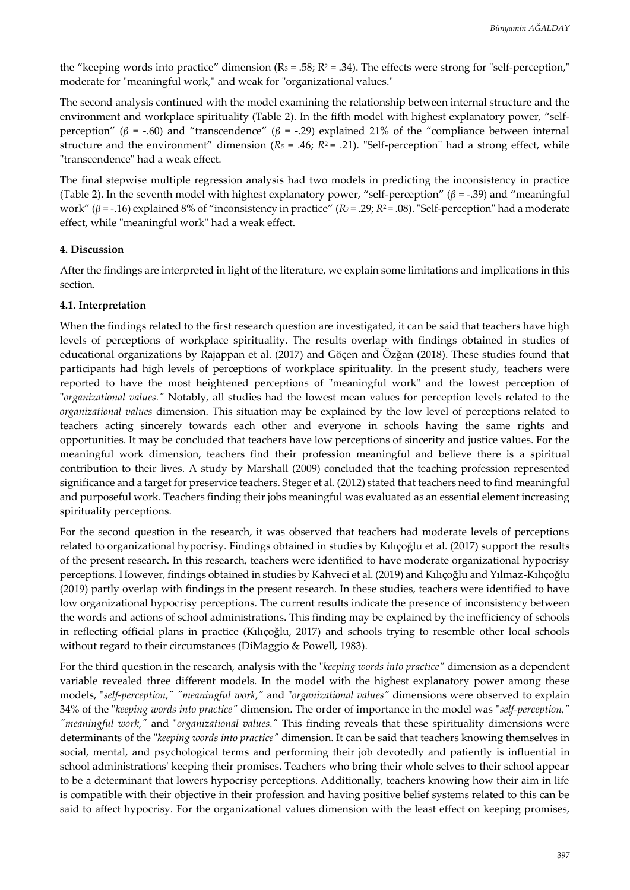the "keeping words into practice" dimension  $(R_3 = .58; R^2 = .34)$ . The effects were strong for "self-perception," moderate for "meaningful work," and weak for "organizational values."

The second analysis continued with the model examining the relationship between internal structure and the environment and workplace spirituality (Table 2). In the fifth model with highest explanatory power, "selfperception" (*β* = -.60) and "transcendence" (*β* = -.29) explained 21% of the "compliance between internal structure and the environment" dimension ( $R_5 = .46$ ;  $R_2 = .21$ ). "Self-perception" had a strong effect, while "transcendence" had a weak effect.

The final stepwise multiple regression analysis had two models in predicting the inconsistency in practice (Table 2). In the seventh model with highest explanatory power, "self-perception" (*β* = -.39) and "meaningful work" (*β* = -.16) explained 8% of "inconsistency in practice" (*R<sup>7</sup>* = .29; *R*2 = .08). "Self-perception" had a moderate effect, while "meaningful work" had a weak effect.

## **4. Discussion**

After the findings are interpreted in light of the literature, we explain some limitations and implications in this section.

#### **4.1. Interpretation**

When the findings related to the first research question are investigated, it can be said that teachers have high levels of perceptions of workplace spirituality. The results overlap with findings obtained in studies of educational organizations by Rajappan et al. (2017) and Göçen and Özğan (2018). These studies found that participants had high levels of perceptions of workplace spirituality. In the present study, teachers were reported to have the most heightened perceptions of "meaningful work" and the lowest perception of "*organizational values."* Notably, all studies had the lowest mean values for perception levels related to the *organizational values* dimension. This situation may be explained by the low level of perceptions related to teachers acting sincerely towards each other and everyone in schools having the same rights and opportunities. It may be concluded that teachers have low perceptions of sincerity and justice values. For the meaningful work dimension, teachers find their profession meaningful and believe there is a spiritual contribution to their lives. A study by Marshall (2009) concluded that the teaching profession represented significance and a target for preservice teachers. Steger et al. (2012) stated that teachers need to find meaningful and purposeful work. Teachers finding their jobs meaningful was evaluated as an essential element increasing spirituality perceptions.

For the second question in the research, it was observed that teachers had moderate levels of perceptions related to organizational hypocrisy. Findings obtained in studies by Kılıçoğlu et al. (2017) support the results of the present research. In this research, teachers were identified to have moderate organizational hypocrisy perceptions. However, findings obtained in studies by Kahveci et al. (2019) and Kılıçoğlu and Yılmaz-Kılıçoğlu (2019) partly overlap with findings in the present research. In these studies, teachers were identified to have low organizational hypocrisy perceptions. The current results indicate the presence of inconsistency between the words and actions of school administrations. This finding may be explained by the inefficiency of schools in reflecting official plans in practice (Kılıçoğlu, 2017) and schools trying to resemble other local schools without regard to their circumstances (DiMaggio & Powell, 1983).

For the third question in the research, analysis with the "*keeping words into practice"* dimension as a dependent variable revealed three different models. In the model with the highest explanatory power among these models, "*self-perception," "meaningful work,"* and "*organizational values"* dimensions were observed to explain 34% of the "*keeping words into practice"* dimension. The order of importance in the model was "*self-perception," "meaningful work,"* and "*organizational values."* This finding reveals that these spirituality dimensions were determinants of the "*keeping words into practice"* dimension. It can be said that teachers knowing themselves in social, mental, and psychological terms and performing their job devotedly and patiently is influential in school administrations' keeping their promises. Teachers who bring their whole selves to their school appear to be a determinant that lowers hypocrisy perceptions. Additionally, teachers knowing how their aim in life is compatible with their objective in their profession and having positive belief systems related to this can be said to affect hypocrisy. For the organizational values dimension with the least effect on keeping promises,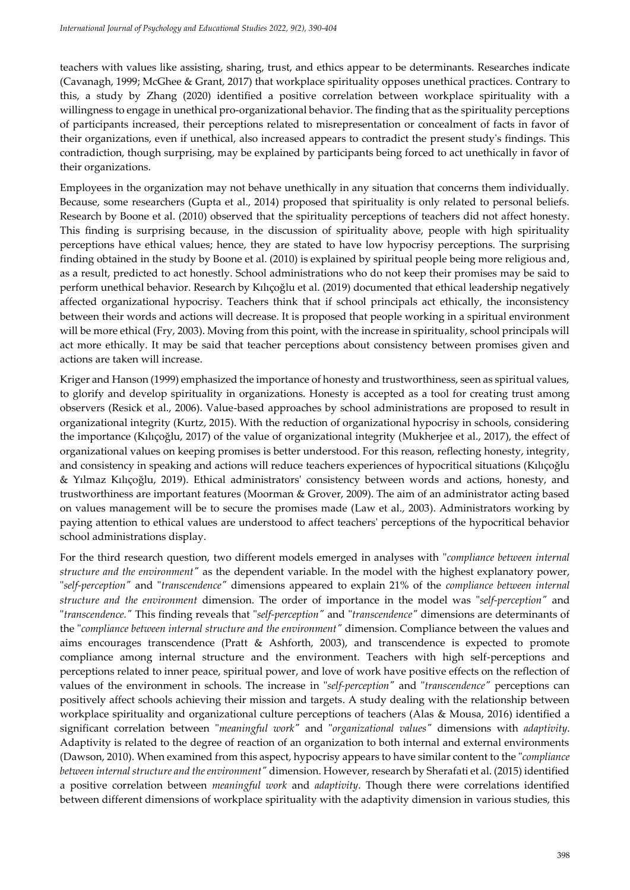teachers with values like assisting, sharing, trust, and ethics appear to be determinants. Researches indicate (Cavanagh, 1999; McGhee & Grant, 2017) that workplace spirituality opposes unethical practices. Contrary to this, a study by Zhang (2020) identified a positive correlation between workplace spirituality with a willingness to engage in unethical pro-organizational behavior. The finding that as the spirituality perceptions of participants increased, their perceptions related to misrepresentation or concealment of facts in favor of their organizations, even if unethical, also increased appears to contradict the present study's findings. This contradiction, though surprising, may be explained by participants being forced to act unethically in favor of their organizations.

Employees in the organization may not behave unethically in any situation that concerns them individually. Because, some researchers (Gupta et al., 2014) proposed that spirituality is only related to personal beliefs. Research by Boone et al. (2010) observed that the spirituality perceptions of teachers did not affect honesty. This finding is surprising because, in the discussion of spirituality above, people with high spirituality perceptions have ethical values; hence, they are stated to have low hypocrisy perceptions. The surprising finding obtained in the study by Boone et al. (2010) is explained by spiritual people being more religious and, as a result, predicted to act honestly. School administrations who do not keep their promises may be said to perform unethical behavior. Research by Kılıçoğlu et al. (2019) documented that ethical leadership negatively affected organizational hypocrisy. Teachers think that if school principals act ethically, the inconsistency between their words and actions will decrease. It is proposed that people working in a spiritual environment will be more ethical (Fry, 2003). Moving from this point, with the increase in spirituality, school principals will act more ethically. It may be said that teacher perceptions about consistency between promises given and actions are taken will increase.

Kriger and Hanson (1999) emphasized the importance of honesty and trustworthiness, seen as spiritual values, to glorify and develop spirituality in organizations. Honesty is accepted as a tool for creating trust among observers (Resick et al., 2006). Value-based approaches by school administrations are proposed to result in organizational integrity (Kurtz, 2015). With the reduction of organizational hypocrisy in schools, considering the importance (Kılıçoğlu, 2017) of the value of organizational integrity (Mukherjee et al., 2017), the effect of organizational values on keeping promises is better understood. For this reason, reflecting honesty, integrity, and consistency in speaking and actions will reduce teachers experiences of hypocritical situations (Kılıçoğlu & Yılmaz Kılıçoğlu, 2019). Ethical administrators' consistency between words and actions, honesty, and trustworthiness are important features (Moorman & Grover, 2009). The aim of an administrator acting based on values management will be to secure the promises made (Law et al., 2003). Administrators working by paying attention to ethical values are understood to affect teachers' perceptions of the hypocritical behavior school administrations display.

For the third research question, two different models emerged in analyses with "*compliance between internal structure and the environment"* as the dependent variable. In the model with the highest explanatory power, "*self-perception"* and "*transcendence"* dimensions appeared to explain 21% of the *compliance between internal structure and the environment* dimension. The order of importance in the model was "*self-perception"* and "*transcendence."* This finding reveals that "*self-perception"* and "*transcendence"* dimensions are determinants of the "*compliance between internal structure and the environment"* dimension. Compliance between the values and aims encourages transcendence (Pratt & Ashforth, 2003), and transcendence is expected to promote compliance among internal structure and the environment. Teachers with high self-perceptions and perceptions related to inner peace, spiritual power, and love of work have positive effects on the reflection of values of the environment in schools. The increase in "*self-perception"* and "*transcendence"* perceptions can positively affect schools achieving their mission and targets. A study dealing with the relationship between workplace spirituality and organizational culture perceptions of teachers (Alas & Mousa, 2016) identified a significant correlation between "*meaningful work"* and "*organizational values"* dimensions with *adaptivity*. Adaptivity is related to the degree of reaction of an organization to both internal and external environments (Dawson, 2010). When examined from this aspect, hypocrisy appears to have similar content to the "*compliance between internal structure and the environment"* dimension. However, research by Sherafati et al. (2015) identified a positive correlation between *meaningful work* and *adaptivity*. Though there were correlations identified between different dimensions of workplace spirituality with the adaptivity dimension in various studies, this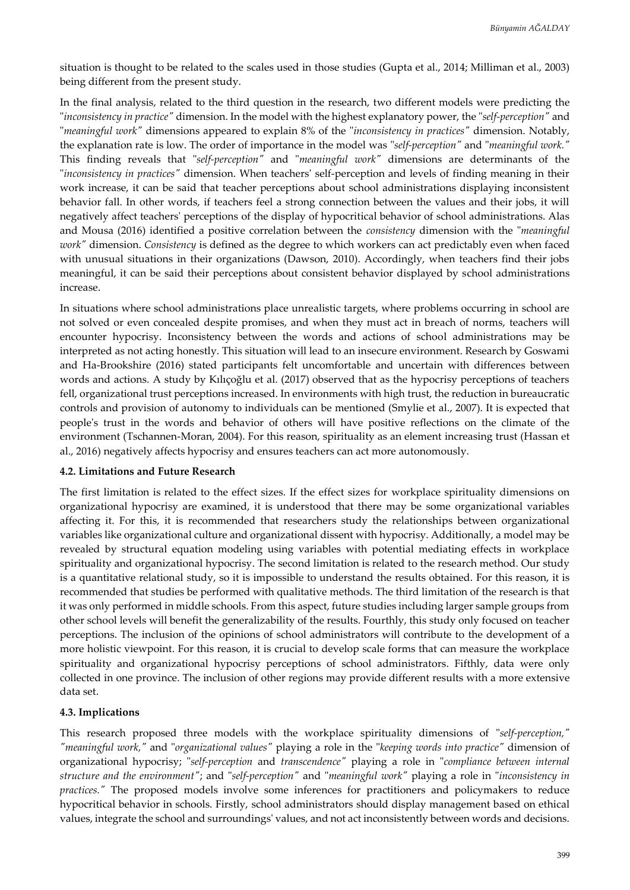situation is thought to be related to the scales used in those studies (Gupta et al., 2014; Milliman et al., 2003) being different from the present study.

In the final analysis, related to the third question in the research, two different models were predicting the "*inconsistency in practice"* dimension. In the model with the highest explanatory power, the "*self-perception"* and "*meaningful work"* dimensions appeared to explain 8% of the "*inconsistency in practices"* dimension. Notably, the explanation rate is low. The order of importance in the model was "*self-perception"* and "*meaningful work."* This finding reveals that "*self-perception"* and "*meaningful work"* dimensions are determinants of the "*inconsistency in practices"* dimension. When teachers' self-perception and levels of finding meaning in their work increase, it can be said that teacher perceptions about school administrations displaying inconsistent behavior fall. In other words, if teachers feel a strong connection between the values and their jobs, it will negatively affect teachers' perceptions of the display of hypocritical behavior of school administrations. Alas and Mousa (2016) identified a positive correlation between the *consistency* dimension with the "*meaningful work"* dimension. *Consistency* is defined as the degree to which workers can act predictably even when faced with unusual situations in their organizations (Dawson, 2010). Accordingly, when teachers find their jobs meaningful, it can be said their perceptions about consistent behavior displayed by school administrations increase.

In situations where school administrations place unrealistic targets, where problems occurring in school are not solved or even concealed despite promises, and when they must act in breach of norms, teachers will encounter hypocrisy. Inconsistency between the words and actions of school administrations may be interpreted as not acting honestly. This situation will lead to an insecure environment. Research by Goswami and Ha-Brookshire (2016) stated participants felt uncomfortable and uncertain with differences between words and actions. A study by Kılıçoğlu et al. (2017) observed that as the hypocrisy perceptions of teachers fell, organizational trust perceptions increased. In environments with high trust, the reduction in bureaucratic controls and provision of autonomy to individuals can be mentioned (Smylie et al., 2007). It is expected that people's trust in the words and behavior of others will have positive reflections on the climate of the environment (Tschannen-Moran, 2004). For this reason, spirituality as an element increasing trust (Hassan et al., 2016) negatively affects hypocrisy and ensures teachers can act more autonomously.

#### **4.2. Limitations and Future Research**

The first limitation is related to the effect sizes. If the effect sizes for workplace spirituality dimensions on organizational hypocrisy are examined, it is understood that there may be some organizational variables affecting it. For this, it is recommended that researchers study the relationships between organizational variables like organizational culture and organizational dissent with hypocrisy. Additionally, a model may be revealed by structural equation modeling using variables with potential mediating effects in workplace spirituality and organizational hypocrisy. The second limitation is related to the research method. Our study is a quantitative relational study, so it is impossible to understand the results obtained. For this reason, it is recommended that studies be performed with qualitative methods. The third limitation of the research is that it was only performed in middle schools. From this aspect, future studies including larger sample groups from other school levels will benefit the generalizability of the results. Fourthly, this study only focused on teacher perceptions. The inclusion of the opinions of school administrators will contribute to the development of a more holistic viewpoint. For this reason, it is crucial to develop scale forms that can measure the workplace spirituality and organizational hypocrisy perceptions of school administrators. Fifthly, data were only collected in one province. The inclusion of other regions may provide different results with a more extensive data set.

#### **4.3. Implications**

This research proposed three models with the workplace spirituality dimensions of "*self-perception," "meaningful work,"* and "*organizational values"* playing a role in the "*keeping words into practice"* dimension of organizational hypocrisy; "*self-perception* and *transcendence"* playing a role in "*compliance between internal structure and the environment"*; and "*self-perception"* and "*meaningful work"* playing a role in "*inconsistency in practices."* The proposed models involve some inferences for practitioners and policymakers to reduce hypocritical behavior in schools. Firstly, school administrators should display management based on ethical values, integrate the school and surroundings' values, and not act inconsistently between words and decisions.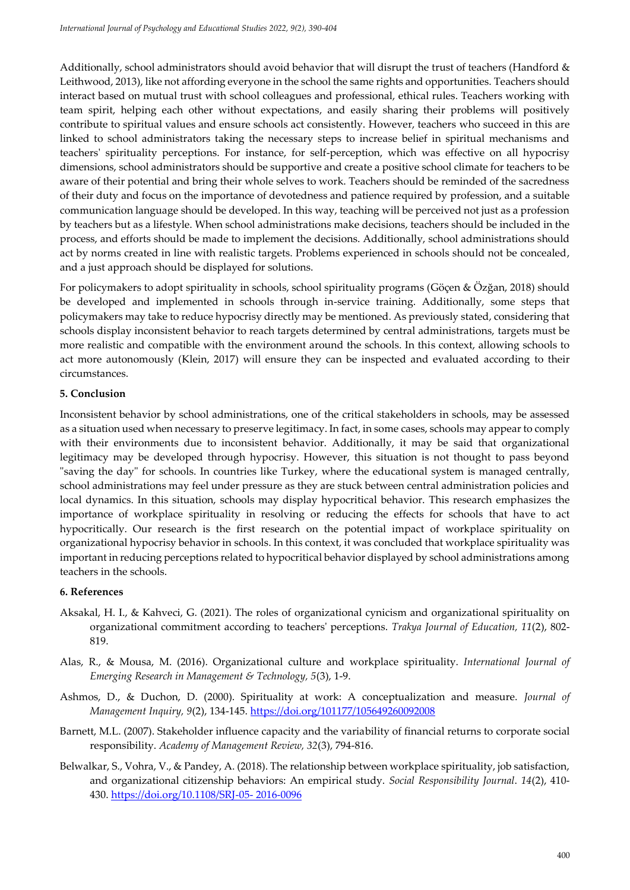Additionally, school administrators should avoid behavior that will disrupt the trust of teachers (Handford & Leithwood, 2013), like not affording everyone in the school the same rights and opportunities. Teachers should interact based on mutual trust with school colleagues and professional, ethical rules. Teachers working with team spirit, helping each other without expectations, and easily sharing their problems will positively contribute to spiritual values and ensure schools act consistently. However, teachers who succeed in this are linked to school administrators taking the necessary steps to increase belief in spiritual mechanisms and teachers' spirituality perceptions. For instance, for self-perception, which was effective on all hypocrisy dimensions, school administrators should be supportive and create a positive school climate for teachers to be aware of their potential and bring their whole selves to work. Teachers should be reminded of the sacredness of their duty and focus on the importance of devotedness and patience required by profession, and a suitable communication language should be developed. In this way, teaching will be perceived not just as a profession by teachers but as a lifestyle. When school administrations make decisions, teachers should be included in the process, and efforts should be made to implement the decisions. Additionally, school administrations should act by norms created in line with realistic targets. Problems experienced in schools should not be concealed, and a just approach should be displayed for solutions.

For policymakers to adopt spirituality in schools, school spirituality programs (Göçen & Özğan, 2018) should be developed and implemented in schools through in-service training. Additionally, some steps that policymakers may take to reduce hypocrisy directly may be mentioned. As previously stated, considering that schools display inconsistent behavior to reach targets determined by central administrations, targets must be more realistic and compatible with the environment around the schools. In this context, allowing schools to act more autonomously (Klein, 2017) will ensure they can be inspected and evaluated according to their circumstances.

### **5. Conclusion**

Inconsistent behavior by school administrations, one of the critical stakeholders in schools, may be assessed as a situation used when necessary to preserve legitimacy. In fact, in some cases, schools may appear to comply with their environments due to inconsistent behavior. Additionally, it may be said that organizational legitimacy may be developed through hypocrisy. However, this situation is not thought to pass beyond "saving the day" for schools. In countries like Turkey, where the educational system is managed centrally, school administrations may feel under pressure as they are stuck between central administration policies and local dynamics. In this situation, schools may display hypocritical behavior. This research emphasizes the importance of workplace spirituality in resolving or reducing the effects for schools that have to act hypocritically. Our research is the first research on the potential impact of workplace spirituality on organizational hypocrisy behavior in schools. In this context, it was concluded that workplace spirituality was important in reducing perceptions related to hypocritical behavior displayed by school administrations among teachers in the schools.

### **6. References**

- Aksakal, H. I., & Kahveci, G. (2021). The roles of organizational cynicism and organizational spirituality on organizational commitment according to teachers' perceptions. *Trakya Journal of Education, 11*(2), 802- 819.
- Alas, R., & Mousa, M. (2016). Organizational culture and workplace spirituality. *International Journal of Emerging Research in Management & Technology, 5*(3), 1-9.
- Ashmos, D., & Duchon, D. (2000). Spirituality at work: A conceptualization and measure. *Journal of Management Inquiry, 9*(2), 134-145[. https://doi.org/101177/105649260092008](https://doi.org/101177/105649260092008)
- Barnett, M.L. (2007). Stakeholder influence capacity and the variability of financial returns to corporate social responsibility. *Academy of Management Review, 32*(3), 794-816.
- Belwalkar, S., Vohra, V., & Pandey, A. (2018). The relationship between workplace spirituality, job satisfaction, and organizational citizenship behaviors: An empirical study. *Social Responsibility Journal*. *14*(2), 410- 430. [https://doi.org/10.1108/SRJ-05-](https://doi.org/10.1108/SRJ-05-%202016-0096) 2016-0096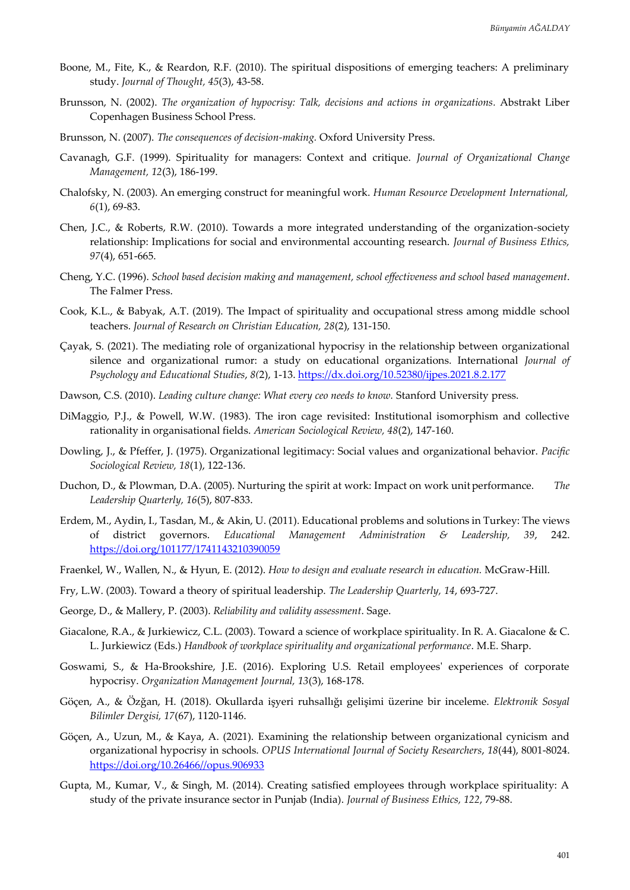- Boone, M., Fite, K., & Reardon, R.F. (2010). The spiritual dispositions of emerging teachers: A preliminary study. *Journal of Thought, 45*(3), 43-58.
- Brunsson, N. (2002). *The organization of hypocrisy: Talk, decisions and actions in organizations.* Abstrakt Liber Copenhagen Business School Press.
- Brunsson, N. (2007). *The consequences of decision-making.* Oxford University Press.
- Cavanagh, G.F. (1999). Spirituality for managers: Context and critique. *Journal of Organizational Change Management, 12*(3), 186-199.
- Chalofsky, N. (2003). An emerging construct for meaningful work. *Human Resource Development International, 6*(1), 69-83.
- Chen, J.C., & Roberts, R.W. (2010). Towards a more integrated understanding of the organization-society relationship: Implications for social and environmental accounting research. *Journal of Business Ethics, 97*(4), 651-665.
- Cheng, Y.C. (1996). *School based decision making and management, school effectiveness and school based management*. The Falmer Press.
- Cook, K.L., & Babyak, A.T. (2019). The Impact of spirituality and occupational stress among middle school teachers. *Journal of Research on Christian Education, 28*(2), 131-150.
- Çayak, S. (2021). The mediating role of organizational hypocrisy in the relationship between organizational silence and organizational rumor: a study on educational organizations. International *Journal of Psychology and Educational Studies*, *8(*2), 1-13.<https://dx.doi.org/10.52380/ijpes.2021.8.2.177>
- Dawson, C.S. (2010). *Leading culture change: What every ceo needs to know.* Stanford University press.
- DiMaggio, P.J., & Powell, W.W. (1983). The iron cage revisited: Institutional isomorphism and collective rationality in organisational fields. *American Sociological Review, 48*(2), 147-160.
- Dowling, J., & Pfeffer, J. (1975). Organizational legitimacy: Social values and organizational behavior. *Pacific Sociological Review, 18*(1), 122-136.
- Duchon, D., & Plowman, D.A. (2005). Nurturing the spirit at work: Impact on work unit performance. *The Leadership Quarterly, 16*(5), 807-833.
- Erdem, M., Aydin, I., Tasdan, M., & Akin, U. (2011). Educational problems and solutions in Turkey: The views of district governors. *Educational Management Administration & Leadership, 39*, 242. <https://doi.org/101177/1741143210390059>
- Fraenkel, W., Wallen, N., & Hyun, E. (2012). *How to design and evaluate research in education.* McGraw-Hill.
- Fry, L.W. (2003). Toward a theory of spiritual leadership. *The Leadership Quarterly, 14*, 693-727.
- George, D., & Mallery, P. (2003). *Reliability and validity assessment*. Sage.
- Giacalone, R.A., & Jurkiewicz, C.L. (2003). Toward a science of workplace spirituality. In R. A. Giacalone & C. L. Jurkiewicz (Eds.) *Handbook of workplace spirituality and organizational performance*. M.E. Sharp.
- Goswami, S., & Ha-Brookshire, J.E. (2016). Exploring U.S. Retail employees' experiences of corporate hypocrisy. *Organization Management Journal, 13*(3), 168-178.
- Göçen, A., & Özğan, H. (2018). Okullarda işyeri ruhsallığı gelişimi üzerine bir inceleme. *Elektronik Sosyal Bilimler Dergisi, 17*(67), 1120-1146.
- Göçen, A., Uzun, M., & Kaya, A. (2021). Examining the relationship between organizational cynicism and organizational hypocrisy in schools. *OPUS International Journal of Society Researchers*, *18*(44), 8001-8024. [https://doi.org/10.26466//opus.906933](https://doi.org/10.26466/opus.906933)
- Gupta, M., Kumar, V., & Singh, M. (2014). Creating satisfied employees through workplace spirituality: A study of the private insurance sector in Punjab (India). *Journal of Business Ethics, 122*, 79-88.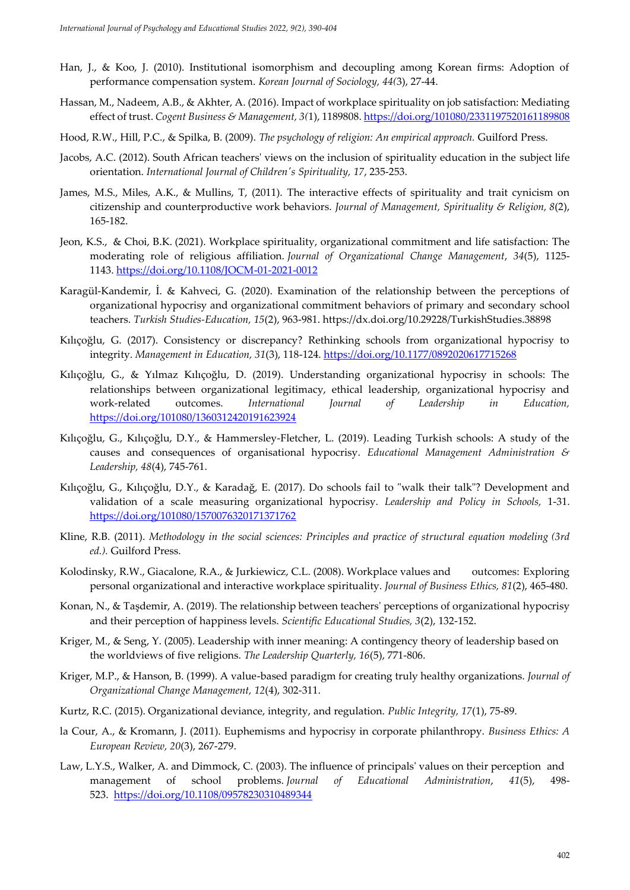- Han, J., & Koo, J. (2010). Institutional isomorphism and decoupling among Korean firms: Adoption of performance compensation system. *Korean Journal of Sociology, 44(*3), 27-44.
- Hassan, M., Nadeem, A.B., & Akhter, A. (2016). Impact of workplace spirituality on job satisfaction: Mediating effect of trust. *Cogent Business & Management, 3(*1), 1189808.<https://doi.org/101080/2331197520161189808>
- Hood, R.W., Hill, P.C., & Spilka, B. (2009). *The psychology of religion: An empirical approach.* Guilford Press.
- Jacobs, A.C. (2012). South African teachers' views on the inclusion of spirituality education in the subject life orientation. *International Journal of Children's Spirituality, 17*, 235-253.
- James, M.S., Miles, A.K., & Mullins, T, (2011). The interactive effects of spirituality and trait cynicism on citizenship and counterproductive work behaviors. *Journal of Management, Spirituality & Religion, 8*(2), 165-182.
- [Jeon, K.S.,](https://www.emerald.com/insight/search?q=Ki%20Seok%20Jeon) & [Choi, B.K.](https://www.emerald.com/insight/search?q=Byoung%20Kwon%20Choi) (2021). Workplace spirituality, organizational commitment and life satisfaction: The moderating role of religious affiliation. *[Journal of Organizational Change Management](https://www.emerald.com/insight/publication/issn/0953-4814)*, *34*(5), 1125- 1143. <https://doi.org/10.1108/JOCM-01-2021-0012>
- Karagül-Kandemir, İ. & Kahveci, G. (2020). Examination of the relationship between the perceptions of organizational hypocrisy and organizational commitment behaviors of primary and secondary school teachers. *Turkish Studies-Education, 15*(2), 963-981. https://dx.doi.org/10.29228/TurkishStudies.38898
- Kılıçoğlu, G. (2017). Consistency or discrepancy? Rethinking schools from organizational hypocrisy to integrity. *Management in Education, 31*(3), 118-124. <https://doi.org/10.1177/0892020617715268>
- Kılıçoğlu, G., & Yılmaz Kılıçoğlu, D. (2019). Understanding organizational hypocrisy in schools: The relationships between organizational legitimacy, ethical leadership, organizational hypocrisy and work-related outcomes. *International Journal of Leadership in Education,* <https://doi.org/101080/1360312420191623924>
- Kılıçoğlu, G., Kılıçoğlu, D.Y., & Hammersley-Fletcher, L. (2019). Leading Turkish schools: A study of the causes and consequences of organisational hypocrisy. *Educational Management Administration & Leadership, 48*(4), 745-761.
- Kılıçoğlu, G., Kılıçoğlu, D.Y., & Karadağ, E. (2017). Do schools fail to "walk their talk"? Development and validation of a scale measuring organizational hypocrisy. *Leadership and Policy in Schools,* 1-31. <https://doi.org/101080/1570076320171371762>
- Kline, R.B. (2011). *Methodology in the social sciences: Principles and practice of structural equation modeling (3rd ed.).* Guilford Press.
- Kolodinsky, R.W., Giacalone, R.A., & Jurkiewicz, C.L. (2008). Workplace values and outcomes: Exploring personal organizational and interactive workplace spirituality. *Journal of Business Ethics, 81*(2), 465-480.
- Konan, N., & Taşdemir, A. (2019). The relationship between teachers' perceptions of organizational hypocrisy and their perception of happiness levels. *Scientific Educational Studies, 3*(2), 132-152.
- Kriger, M., & Seng, Y. (2005). Leadership with inner meaning: A contingency theory of leadership based on the worldviews of five religions. *The Leadership Quarterly, 16*(5), 771-806.
- Kriger, M.P., & Hanson, B. (1999). A value-based paradigm for creating truly healthy organizations. *Journal of Organizational Change Management, 12*(4), 302-311.
- Kurtz, R.C. (2015). Organizational deviance, integrity, and regulation. *Public Integrity, 17*(1), 75-89.
- la Cour, A., & Kromann, J. (2011). Euphemisms and hypocrisy in corporate philanthropy. *Business Ethics: A European Review, 20*(3), 267-279.
- Law, L.Y.S., Walker, A. and Dimmock, C. (2003). The influence of principals' values on their perception and management of school problems. *Journal of Educational Administration*, *41*(5), 498- 523. <https://doi.org/10.1108/09578230310489344>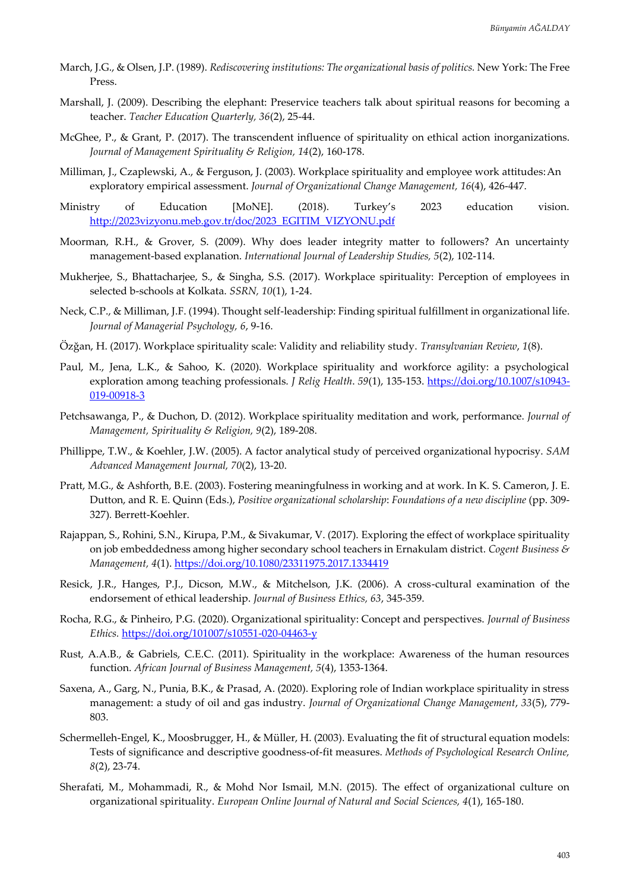- March, J.G., & Olsen, J.P. (1989). *Rediscovering institutions: The organizational basis of politics.* New York: The Free Press.
- Marshall, J. (2009). Describing the elephant: Preservice teachers talk about spiritual reasons for becoming a teacher. *Teacher Education Quarterly, 36*(2), 25-44.
- McGhee, P., & Grant, P. (2017). The transcendent influence of spirituality on ethical action inorganizations. *Journal of Management Spirituality & Religion, 14*(2), 160-178.
- Milliman, J., Czaplewski, A., & Ferguson, J. (2003). Workplace spirituality and employee work attitudes:An exploratory empirical assessment. *Journal of Organizational Change Management, 16*(4), 426-447.
- Ministry of Education [MoNE]. (2018). Turkey's 2023 education vision. [http://2023vizyonu.meb.gov.tr/doc/2023\\_EGITIM\\_VIZYONU.pdf](http://2023vizyonu.meb.gov.tr/doc/2023_EGITIM_VIZYONU.pdf)
- Moorman, R.H., & Grover, S. (2009). Why does leader integrity matter to followers? An uncertainty management-based explanation. *International Journal of Leadership Studies, 5*(2), 102-114.
- Mukherjee, S., Bhattacharjee, S., & Singha, S.S. (2017). Workplace spirituality: Perception of employees in selected b-schools at Kolkata. *SSRN, 10*(1), 1-24.
- Neck, C.P., & Milliman, J.F. (1994). Thought self-leadership: Finding spiritual fulfillment in organizational life. *Journal of Managerial Psychology, 6*, 9-16.
- Özğan, H. (2017). Workplace spirituality scale: Validity and reliability study. *Transylvanian Review*, *1*(8).
- Paul, M., Jena, L.K., & Sahoo, K. (2020). Workplace spirituality and workforce agility: a psychological exploration among teaching professionals. *J Relig Health*.  $59(1)$ , 135-153[. https://doi.org/10.1007/s10943-](https://doi.org/10.1007/s10943-019-00918-3) [019-00918-3](https://doi.org/10.1007/s10943-019-00918-3)
- Petchsawanga, P., & Duchon, D. (2012). Workplace spirituality meditation and work, performance. *Journal of Management, Spirituality & Religion, 9*(2), 189-208.
- Phillippe, T.W., & Koehler, J.W. (2005). A factor analytical study of perceived organizational hypocrisy. *SAM Advanced Management Journal, 70*(2), 13-20.
- Pratt, M.G., & Ashforth, B.E. (2003). Fostering meaningfulness in working and at work. In K. S. Cameron, J. E. Dutton, and R. E. Quinn (Eds.), *Positive organizational scholarship*: *Foundations of a new discipline* (pp. 309- 327)*.* Berrett-Koehler.
- Rajappan, S., Rohini, S.N., Kirupa, P.M., & Sivakumar, V. (2017). Exploring the effect of workplace spirituality on job embeddedness among higher secondary school teachers in Ernakulam district. *Cogent Business & Management, 4*(1).<https://doi.org/10.1080/23311975.2017.1334419>
- Resick, J.R., Hanges, P.J., Dicson, M.W., & Mitchelson, J.K. (2006). A cross-cultural examination of the endorsement of ethical leadership. *Journal of Business Ethics, 63*, 345-359.
- Rocha, R.G., & Pinheiro, P.G. (2020). Organizational spirituality: Concept and perspectives. *Journal of Business Ethics.* <https://doi.org/101007/s10551-020-04463-y>
- Rust, A.A.B., & Gabriels, C.E.C. (2011). Spirituality in the workplace: Awareness of the human resources function. *African Journal of Business Management, 5*(4), 1353-1364.
- Saxena, A., Garg, N., Punia, B.K., & Prasad, A. (2020). Exploring role of Indian workplace spirituality in stress management: a study of oil and gas industry. *Journal of Organizational Change Management*, *33*(5), 779- 803.
- Schermelleh-Engel, K., Moosbrugger, H., & Müller, H. (2003). Evaluating the fit of structural equation models: Tests of significance and descriptive goodness-of-fit measures. *Methods of Psychological Research Online, 8*(2), 23-74.
- Sherafati, M., Mohammadi, R., & Mohd Nor Ismail, M.N. (2015). The effect of organizational culture on organizational spirituality. *European Online Journal of Natural and Social Sciences, 4*(1), 165-180.